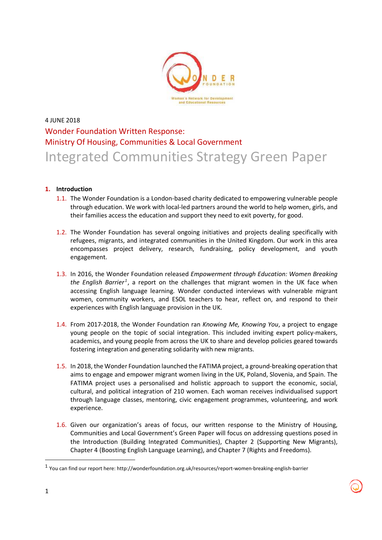

## 4 JUNE 2018 Wonder Foundation Written Response: Ministry Of Housing, Communities & Local Government Integrated Communities Strategy Green Paper

## **1. Introduction**

- 1.1. The Wonder Foundation is a London-based charity dedicated to empowering vulnerable people through education. We work with local-led partners around the world to help women, girls, and their families access the education and support they need to exit poverty, for good.
- 1.2. The Wonder Foundation has several ongoing initiatives and projects dealing specifically with refugees, migrants, and integrated communities in the United Kingdom. Our work in this area encompasses project delivery, research, fundraising, policy development, and youth engagement.
- 1.3. In 2016, the Wonder Foundation released *Empowerment through Education: Women Breaking*  the English Barrier<sup>1</sup>, a report on the challenges that migrant women in the UK face when accessing English language learning. Wonder conducted interviews with vulnerable migrant women, community workers, and ESOL teachers to hear, reflect on, and respond to their experiences with English language provision in the UK.
- 1.4. From 2017-2018, the Wonder Foundation ran *Knowing Me, Knowing You*, a project to engage young people on the topic of social integration. This included inviting expert policy-makers, academics, and young people from across the UK to share and develop policies geared towards fostering integration and generating solidarity with new migrants.
- 1.5. In 2018, the Wonder Foundation launched the FATIMA project, a ground-breaking operation that aims to engage and empower migrant women living in the UK, Poland, Slovenia, and Spain. The FATIMA project uses a personalised and holistic approach to support the economic, social, cultural, and political integration of 210 women. Each woman receives individualised support through language classes, mentoring, civic engagement programmes, volunteering, and work experience.
- 1.6. Given our organization's areas of focus, our written response to the Ministry of Housing, Communities and Local Government's Green Paper will focus on addressing questions posed in the Introduction (Building Integrated Communities), Chapter 2 (Supporting New Migrants), Chapter 4 (Boosting English Language Learning), and Chapter 7 (Rights and Freedoms).

l

<sup>&</sup>lt;sup>1</sup> You can find our report here: http://wonderfoundation.org.uk/resources/report-women-breaking-english-barrier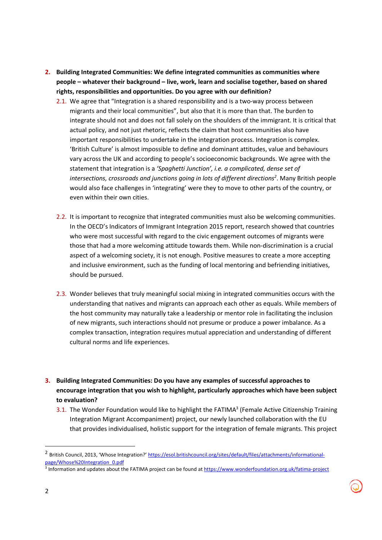- **2. Building Integrated Communities: We define integrated communities as communities where people – whatever their background – live, work, learn and socialise together, based on shared rights, responsibilities and opportunities. Do you agree with our definition?** 
	- 2.1. We agree that "Integration is a shared responsibility and is a two-way process between migrants and their local communities", but also that it is more than that. The burden to integrate should not and does not fall solely on the shoulders of the immigrant. It is critical that actual policy, and not just rhetoric, reflects the claim that host communities also have important responsibilities to undertake in the integration process. Integration is complex. 'British Culture' is almost impossible to define and dominant attitudes, value and behaviours vary across the UK and according to people's socioeconomic backgrounds. We agree with the statement that integration is a *'Spaghetti Junction', i.e. a complicated, dense set of intersections, crossroads and junctions going in lots of different directions<sup>2</sup>* . Many British people would also face challenges in 'integrating' were they to move to other parts of the country, or even within their own cities.
	- 2.2. It is important to recognize that integrated communities must also be welcoming communities. In the OECD's Indicators of Immigrant Integration 2015 report, research showed that countries who were most successful with regard to the civic engagement outcomes of migrants were those that had a more welcoming attitude towards them. While non-discrimination is a crucial aspect of a welcoming society, it is not enough. Positive measures to create a more accepting and inclusive environment, such as the funding of local mentoring and befriending initiatives, should be pursued.
	- 2.3. Wonder believes that truly meaningful social mixing in integrated communities occurs with the understanding that natives and migrants can approach each other as equals. While members of the host community may naturally take a leadership or mentor role in facilitating the inclusion of new migrants, such interactions should not presume or produce a power imbalance. As a complex transaction, integration requires mutual appreciation and understanding of different cultural norms and life experiences.
- **3. Building Integrated Communities: Do you have any examples of successful approaches to encourage integration that you wish to highlight, particularly approaches which have been subject to evaluation?** 
	- 3.1. The Wonder Foundation would like to highlight the FATIMA<sup>3</sup> (Female Active Citizenship Training Integration Migrant Accompaniment) project, our newly launched collaboration with the EU that provides individualised, holistic support for the integration of female migrants. This project

<sup>&</sup>lt;sup>2</sup> British Council, 2013, 'Whose Integration?' https://esol.britishcouncil.org/sites/default/files/attachments/informationalpage/Whose%20Integration\_0.pdf

<sup>&</sup>lt;sup>3</sup> Information and updates about the FATIMA project can be found at https://www.wonderfoundation.org.uk/fatima-project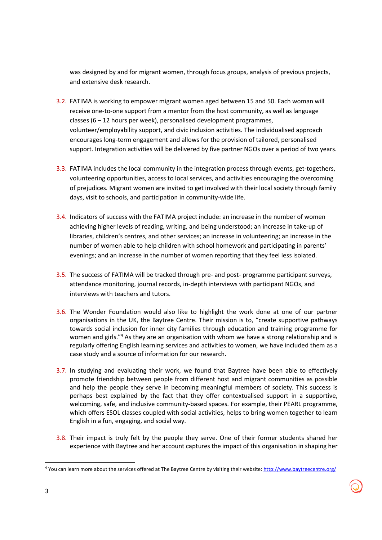was designed by and for migrant women, through focus groups, analysis of previous projects, and extensive desk research.

- 3.2. FATIMA is working to empower migrant women aged between 15 and 50. Each woman will receive one-to-one support from a mentor from the host community, as well as language classes (6 – 12 hours per week), personalised development programmes, volunteer/employability support, and civic inclusion activities. The individualised approach encourages long-term engagement and allows for the provision of tailored, personalised support. Integration activities will be delivered by five partner NGOs over a period of two years.
- 3.3. FATIMA includes the local community in the integration process through events, get-togethers, volunteering opportunities, access to local services, and activities encouraging the overcoming of prejudices. Migrant women are invited to get involved with their local society through family days, visit to schools, and participation in community-wide life.
- 3.4. Indicators of success with the FATIMA project include: an increase in the number of women achieving higher levels of reading, writing, and being understood; an increase in take-up of libraries, children's centres, and other services; an increase in volunteering; an increase in the number of women able to help children with school homework and participating in parents' evenings; and an increase in the number of women reporting that they feel less isolated.
- 3.5. The success of FATIMA will be tracked through pre- and post- programme participant surveys, attendance monitoring, journal records, in-depth interviews with participant NGOs, and interviews with teachers and tutors.
- 3.6. The Wonder Foundation would also like to highlight the work done at one of our partner organisations in the UK, the Baytree Centre. Their mission is to, "create supportive pathways towards social inclusion for inner city families through education and training programme for women and girls."<sup>4</sup> As they are an organisation with whom we have a strong relationship and is regularly offering English learning services and activities to women, we have included them as a case study and a source of information for our research.
- 3.7. In studying and evaluating their work, we found that Baytree have been able to effectively promote friendship between people from different host and migrant communities as possible and help the people they serve in becoming meaningful members of society. This success is perhaps best explained by the fact that they offer contextualised support in a supportive, welcoming, safe, and inclusive community-based spaces. For example, their PEARL programme, which offers ESOL classes coupled with social activities, helps to bring women together to learn English in a fun, engaging, and social way.
- 3.8. Their impact is truly felt by the people they serve. One of their former students shared her experience with Baytree and her account captures the impact of this organisation in shaping her

<sup>&</sup>lt;sup>4</sup> You can learn more about the services offered at The Baytree Centre by visiting their website: http://www.baytreecentre.org/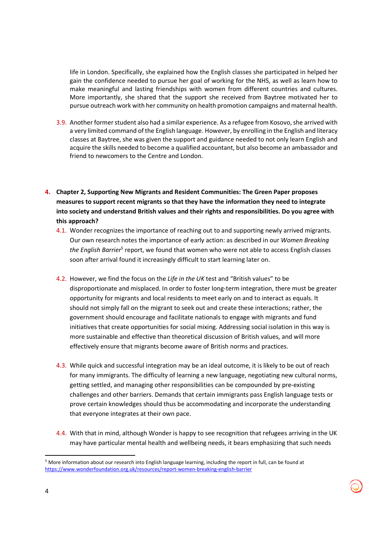life in London. Specifically, she explained how the English classes she participated in helped her gain the confidence needed to pursue her goal of working for the NHS, as well as learn how to make meaningful and lasting friendships with women from different countries and cultures. More importantly, she shared that the support she received from Baytree motivated her to pursue outreach work with her community on health promotion campaigns and maternal health.

- 3.9. Another former student also had a similar experience. As a refugee from Kosovo, she arrived with a very limited command of the English language. However, by enrolling in the English and literacy classes at Baytree, she was given the support and guidance needed to not only learn English and acquire the skills needed to become a qualified accountant, but also become an ambassador and friend to newcomers to the Centre and London.
- **4. Chapter 2, Supporting New Migrants and Resident Communities: The Green Paper proposes measures to support recent migrants so that they have the information they need to integrate into society and understand British values and their rights and responsibilities. Do you agree with this approach?** 
	- 4.1. Wonder recognizes the importance of reaching out to and supporting newly arrived migrants. Our own research notes the importance of early action: as described in our *Women Breaking*  the English Barrier<sup>5</sup> report, we found that women who were not able to access English classes soon after arrival found it increasingly difficult to start learning later on.
	- 4.2. However, we find the focus on the *Life in the UK* test and "British values" to be disproportionate and misplaced. In order to foster long-term integration, there must be greater opportunity for migrants and local residents to meet early on and to interact as equals. It should not simply fall on the migrant to seek out and create these interactions; rather, the government should encourage and facilitate nationals to engage with migrants and fund initiatives that create opportunities for social mixing. Addressing social isolation in this way is more sustainable and effective than theoretical discussion of British values, and will more effectively ensure that migrants become aware of British norms and practices.
	- 4.3. While quick and successful integration may be an ideal outcome, it is likely to be out of reach for many immigrants. The difficulty of learning a new language, negotiating new cultural norms, getting settled, and managing other responsibilities can be compounded by pre-existing challenges and other barriers. Demands that certain immigrants pass English language tests or prove certain knowledges should thus be accommodating and incorporate the understanding that everyone integrates at their own pace.
	- 4.4. With that in mind, although Wonder is happy to see recognition that refugees arriving in the UK may have particular mental health and wellbeing needs, it bears emphasizing that such needs

<sup>&</sup>lt;sup>5</sup> More information about our research into English language learning, including the report in full, can be found at https://www.wonderfoundation.org.uk/resources/report-women-breaking-english-barrier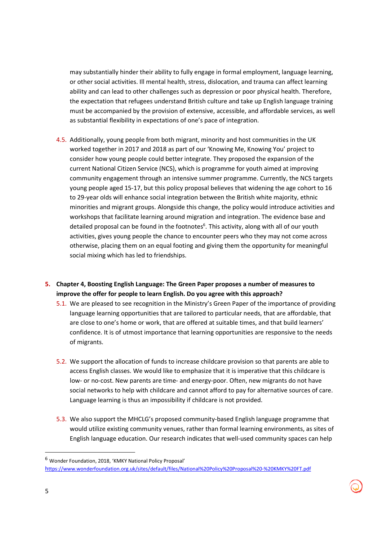may substantially hinder their ability to fully engage in formal employment, language learning, or other social activities. Ill mental health, stress, dislocation, and trauma can affect learning ability and can lead to other challenges such as depression or poor physical health. Therefore, the expectation that refugees understand British culture and take up English language training must be accompanied by the provision of extensive, accessible, and affordable services, as well as substantial flexibility in expectations of one's pace of integration.

- 4.5. Additionally, young people from both migrant, minority and host communities in the UK worked together in 2017 and 2018 as part of our 'Knowing Me, Knowing You' project to consider how young people could better integrate. They proposed the expansion of the current National Citizen Service (NCS), which is programme for youth aimed at improving community engagement through an intensive summer programme. Currently, the NCS targets young people aged 15-17, but this policy proposal believes that widening the age cohort to 16 to 29-year olds will enhance social integration between the British white majority, ethnic minorities and migrant groups. Alongside this change, the policy would introduce activities and workshops that facilitate learning around migration and integration. The evidence base and detailed proposal can be found in the footnotes<sup>6</sup>. This activity, along with all of our youth activities, gives young people the chance to encounter peers who they may not come across otherwise, placing them on an equal footing and giving them the opportunity for meaningful social mixing which has led to friendships.
- **5. Chapter 4, Boosting English Language: The Green Paper proposes a number of measures to improve the offer for people to learn English. Do you agree with this approach?** 
	- 5.1. We are pleased to see recognition in the Ministry's Green Paper of the importance of providing language learning opportunities that are tailored to particular needs, that are affordable, that are close to one's home or work, that are offered at suitable times, and that build learners' confidence. It is of utmost importance that learning opportunities are responsive to the needs of migrants.
	- 5.2. We support the allocation of funds to increase childcare provision so that parents are able to access English classes. We would like to emphasize that it is imperative that this childcare is low- or no-cost. New parents are time- and energy-poor. Often, new migrants do not have social networks to help with childcare and cannot afford to pay for alternative sources of care. Language learning is thus an impossibility if childcare is not provided.
	- 5.3. We also support the MHCLG's proposed community-based English language programme that would utilize existing community venues, rather than formal learning environments, as sites of English language education. Our research indicates that well-used community spaces can help

<sup>6</sup> Wonder Foundation, 2018, 'KMKY National Policy Proposal' https://www.wonderfoundation.org.uk/sites/default/files/National%20Policy%20Proposal%20-%20KMKY%20FT.pdf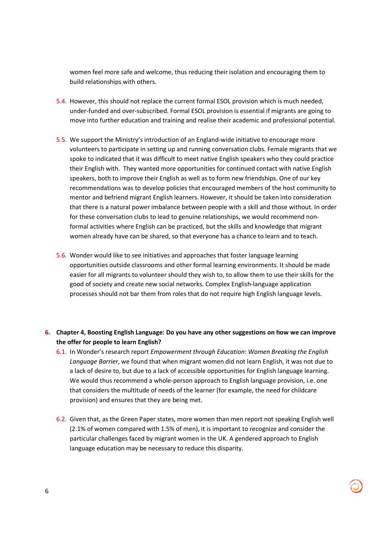women feel more safe and welcome, thus reducing their isolation and encouraging them to build relationships with others.

- 5.4. However, this should not replace the current formal ESOL provision which is much needed, under-funded and over-subscribed. Formal ESOL provision is essential if migrants are going to move into further education and training and realise their academic and professional potential.
- 5.5. We support the Ministry's introduction of an England-wide initiative to encourage more volunteers to participate in setting up and running conversation clubs. Female migrants that we spoke to indicated that it was difficult to meet native English speakers who they could practice their English with. They wanted more opportunities for continued contact with native English speakers, both to improve their English as well as to form new friendships. One of our key recommendations was to develop policies that encouraged members of the host community to mentor and befriend migrant English learners. However, it should be taken into consideration that there is a natural power imbalance between people with a skill and those without. In order for these conversation clubs to lead to genuine relationships, we would recommend nonformal activities where English can be practiced, but the skills and knowledge that migrant women already have can be shared, so that everyone has a chance to learn and to teach.
- 5.6. Wonder would like to see initiatives and approaches that foster language learning opportunities outside classrooms and other formal learning environments. It should be made easier for all migrants to volunteer should they wish to, to allow them to use their skills for the good of society and create new social networks. Complex English-language application processes should not bar them from roles that do not require high English language levels.
- **6. Chapter 4, Boosting English Language: Do you have any other suggestions on how we can improve the offer for people to learn English?** 
	- 6.1. In Wonder's research report *Empowerment through Education: Women Breaking the English Language Barrier*, we found that when migrant women did not learn English, it was not due to a lack of desire to, but due to a lack of accessible opportunities for English language learning. We would thus recommend a whole-person approach to English language provision, i.e. one that considers the multitude of needs of the learner (for example, the need for childcare provision) and ensures that they are being met.
	- 6.2. Given that, as the Green Paper states, more women than men report not speaking English well (2.1% of women compared with 1.5% of men), it is important to recognize and consider the particular challenges faced by migrant women in the UK. A gendered approach to English language education may be necessary to reduce this disparity.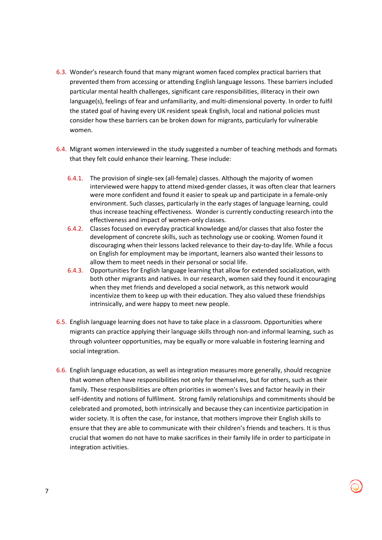- 6.3. Wonder's research found that many migrant women faced complex practical barriers that prevented them from accessing or attending English language lessons. These barriers included particular mental health challenges, significant care responsibilities, illiteracy in their own language(s), feelings of fear and unfamiliarity, and multi-dimensional poverty. In order to fulfil the stated goal of having every UK resident speak English, local and national policies must consider how these barriers can be broken down for migrants, particularly for vulnerable women.
- 6.4. Migrant women interviewed in the study suggested a number of teaching methods and formats that they felt could enhance their learning. These include:
	- 6.4.1. The provision of single-sex (all-female) classes. Although the majority of women interviewed were happy to attend mixed-gender classes, it was often clear that learners were more confident and found it easier to speak up and participate in a female-only environment. Such classes, particularly in the early stages of language learning, could thus increase teaching effectiveness. Wonder is currently conducting research into the effectiveness and impact of women-only classes.
	- 6.4.2. Classes focused on everyday practical knowledge and/or classes that also foster the development of concrete skills, such as technology use or cooking. Women found it discouraging when their lessons lacked relevance to their day-to-day life. While a focus on English for employment may be important, learners also wanted their lessons to allow them to meet needs in their personal or social life.
	- 6.4.3. Opportunities for English language learning that allow for extended socialization, with both other migrants and natives. In our research, women said they found it encouraging when they met friends and developed a social network, as this network would incentivize them to keep up with their education. They also valued these friendships intrinsically, and were happy to meet new people.
- 6.5. English language learning does not have to take place in a classroom. Opportunities where migrants can practice applying their language skills through non-and informal learning, such as through volunteer opportunities, may be equally or more valuable in fostering learning and social integration.
- 6.6. English language education, as well as integration measures more generally, should recognize that women often have responsibilities not only for themselves, but for others, such as their family. These responsibilities are often priorities in women's lives and factor heavily in their self-identity and notions of fulfilment. Strong family relationships and commitments should be celebrated and promoted, both intrinsically and because they can incentivize participation in wider society. It is often the case, for instance, that mothers improve their English skills to ensure that they are able to communicate with their children's friends and teachers. It is thus crucial that women do not have to make sacrifices in their family life in order to participate in integration activities.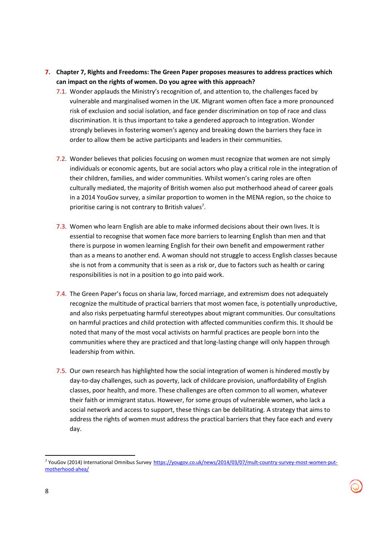- **7. Chapter 7, Rights and Freedoms: The Green Paper proposes measures to address practices which can impact on the rights of women. Do you agree with this approach?** 
	- 7.1. Wonder applauds the Ministry's recognition of, and attention to, the challenges faced by vulnerable and marginalised women in the UK. Migrant women often face a more pronounced risk of exclusion and social isolation, and face gender discrimination on top of race and class discrimination. It is thus important to take a gendered approach to integration. Wonder strongly believes in fostering women's agency and breaking down the barriers they face in order to allow them be active participants and leaders in their communities.
	- 7.2. Wonder believes that policies focusing on women must recognize that women are not simply individuals or economic agents, but are social actors who play a critical role in the integration of their children, families, and wider communities. Whilst women's caring roles are often culturally mediated, the majority of British women also put motherhood ahead of career goals in a 2014 YouGov survey, a similar proportion to women in the MENA region, so the choice to prioritise caring is not contrary to British values<sup>7</sup>.
	- 7.3. Women who learn English are able to make informed decisions about their own lives. It is essential to recognise that women face more barriers to learning English than men and that there is purpose in women learning English for their own benefit and empowerment rather than as a means to another end. A woman should not struggle to access English classes because she is not from a community that is seen as a risk or, due to factors such as health or caring responsibilities is not in a position to go into paid work.
	- 7.4. The Green Paper's focus on sharia law, forced marriage, and extremism does not adequately recognize the multitude of practical barriers that most women face, is potentially unproductive, and also risks perpetuating harmful stereotypes about migrant communities. Our consultations on harmful practices and child protection with affected communities confirm this. It should be noted that many of the most vocal activists on harmful practices are people born into the communities where they are practiced and that long-lasting change will only happen through leadership from within.
	- 7.5. Our own research has highlighted how the social integration of women is hindered mostly by day-to-day challenges, such as poverty, lack of childcare provision, unaffordability of English classes, poor health, and more. These challenges are often common to all women, whatever their faith or immigrant status. However, for some groups of vulnerable women, who lack a social network and access to support, these things can be debilitating. A strategy that aims to address the rights of women must address the practical barriers that they face each and every day.

<sup>&</sup>lt;sup>7</sup> YouGov (2014) International Omnibus Survey https://yougov.co.uk/news/2014/03/07/mult-country-survey-most-women-putmotherhood-ahea/